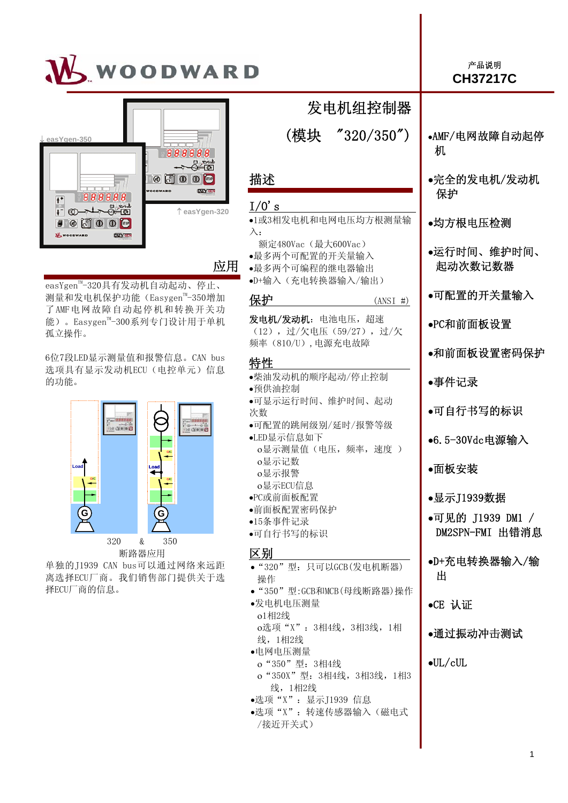



应用

•选项"X":转速传感器输入(磁电式

/接近开关式)

easYgen<sup>™-</sup>320具有发动机自动起动、停止、 测量和发电机保护功能(Easygen™-350增加 了 AMF电网故障自动起停机和转换开关功 能)。Easygen™-300系列专门设计用于单机 孤立操作。

6位7段LED显示测量值和报警信息。CAN bus 选项具有显示发动机ECU(电控单元)信息 的功能。



断路器应用

单独的J1939 CAN bus可以通过网络来远距 离选择ECU厂商。我们销售部门提供关于选 择ECU厂商的信息。

| 发电机组控制器                                                                      |                                     |
|------------------------------------------------------------------------------|-------------------------------------|
| (模块 ″320/350″)                                                               | •AMF/电网故障自动起停<br>机                  |
| 描述                                                                           | ●完全的发电机/发动机<br>保护                   |
| $I/0$ 's<br>•1或3相发电机和电网电压均方根测量输<br>$\lambda$ :                               | ●均方根电压检测                            |
| 额定480Vac (最大600Vac)<br>•最多两个可配置的开关量输入<br>•最多两个可编程的继电器输出<br>•D+输入(充电转换器输入/输出) | ●运行时间、维护时间、<br>起动次数记数器              |
| 保护<br>$(ANSI \#)$                                                            | ●可配置的开关量输入                          |
| 发电机/发动机: 电池电压, 超速<br>(12), 过/欠电压 (59/27), 过/欠                                | ●PC和前面板设置                           |
| 频率 (810/U), 电源充电故障<br>特性                                                     | ●和前面板设置密码保护                         |
| ●柴油发动机的顺序起动/停止控制<br>●预供油控制                                                   | ●事件记录                               |
| ●可显示运行时间、维护时间、起动<br>次数                                                       | ●可自行书写的标识                           |
| ●可配置的跳闸级别/延时/报警等级<br>•LED显示信息如下<br>o显示测量值(电压,频率,速度)                          | ●6.5-30Vdc电源输入                      |
| o显示记数<br>o显示报警                                                               | ●面板安装                               |
| o显示ECU信息<br>•PC或前面板配置                                                        | ●显示J1939数据                          |
| ●前面板配置密码保护<br>•15条事件记录<br>●可自行书写的标识                                          | ●可见的 J1939 DM1 /<br>DM2SPN-FMI 出错消息 |
| 区别<br>• "320"型: 只可以GCB(发电机断器)<br>操作                                          | ●D+充电转换器输入/输<br>出                   |
| ● "350"型:GCB和MCB(母线断路器)操作<br>●发电机电压测量                                        | $\bullet$ CE 认证                     |
| o1相2线<br>o选项"X": 3相4线, 3相3线, 1相<br>线, 1相2线                                   | ●通过振动冲击测试                           |
| ●电网电压测量<br>o "350"型: 3相4线<br>o "350X"型: 3相4线, 3相3线, 1相3<br>线, 1相2线           | $\bullet$ UL/cUL                    |
| ●选项"X": 显示J1939 信息                                                           |                                     |

### 产品说明 **CH37217C**

1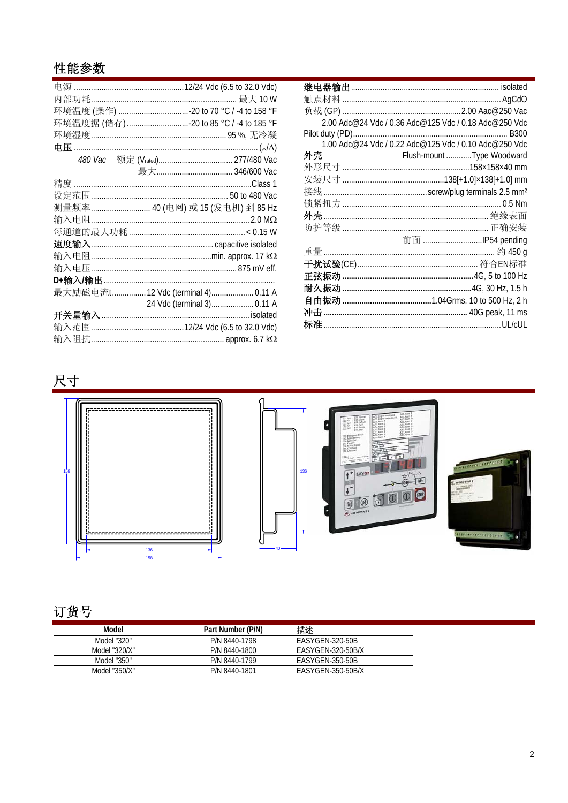## 性能参数

| 环境温度据 (储存)20 to 85 °C / -4 to 185 °F |
|--------------------------------------|
|                                      |
|                                      |
|                                      |
|                                      |
|                                      |
|                                      |
| 测量频率 40 (电网) 或 15 (发电机) 到 85 Hz      |
|                                      |
| 每通道的最大功耗……………………………………………< 0.15 W    |
|                                      |
|                                      |
|                                      |
|                                      |
| 最大励磁电流t12 Vdc (terminal 4)0.11 A     |
| 24 Vdc (terminal 3) 0.11 A           |
|                                      |
|                                      |
|                                      |

|    | 2.00 Adc@24 Vdc / 0.36 Adc@125 Vdc / 0.18 Adc@250 Vdc |
|----|-------------------------------------------------------|
|    |                                                       |
|    | 1.00 Adc@24 Vdc / 0.22 Adc@125 Vdc / 0.10 Adc@250 Vdc |
| 外壳 | Flush-mount Type Woodward                             |
|    |                                                       |
|    |                                                       |
|    |                                                       |
|    |                                                       |
|    |                                                       |
|    |                                                       |
|    | 前面 IP54 pending                                       |
|    |                                                       |
|    |                                                       |
|    |                                                       |
|    |                                                       |
|    |                                                       |
|    |                                                       |
|    |                                                       |

# 尺寸









# 订货号

| Model         | Part Number (P/N) | 描述                |  |
|---------------|-------------------|-------------------|--|
| Model "320"   | P/N 8440-1798     | EASYGEN-320-50B   |  |
| Model "320/X" | P/N 8440-1800     | EASYGEN-320-50B/X |  |
| Model "350"   | P/N 8440-1799     | EASYGEN-350-50B   |  |
| Model "350/X" | P/N 8440-1801     | EASYGEN-350-50B/X |  |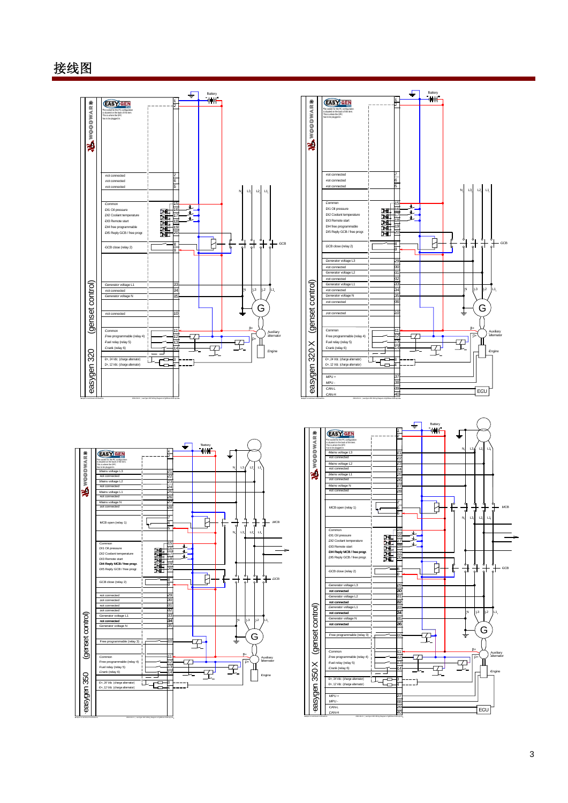### 接线图